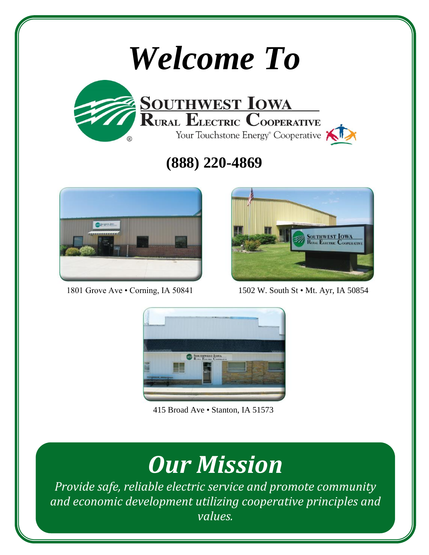# *Welcome To*



# **(888) 220-4869**





1801 Grove Ave • Corning, IA 50841 1502 W. South St • Mt. Ayr, IA 50854



415 Broad Ave • Stanton, IA 51573

# *Our Mission*

*Provide safe, reliable electric service and promote community and economic development utilizing cooperative principles and values.*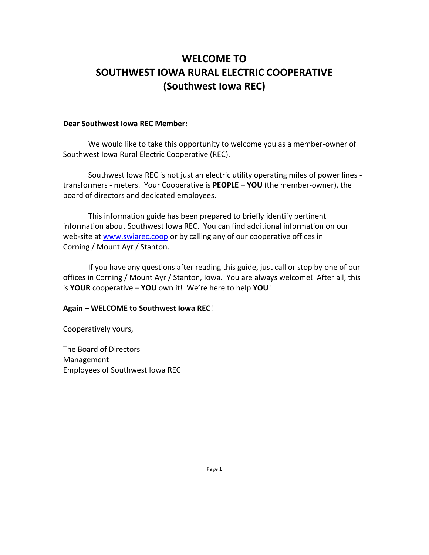# **WELCOME TO SOUTHWEST IOWA RURAL ELECTRIC COOPERATIVE (Southwest Iowa REC)**

#### **Dear Southwest Iowa REC Member:**

We would like to take this opportunity to welcome you as a member-owner of Southwest Iowa Rural Electric Cooperative (REC).

Southwest Iowa REC is not just an electric utility operating miles of power lines transformers - meters. Your Cooperative is **PEOPLE** – **YOU** (the member-owner), the board of directors and dedicated employees.

This information guide has been prepared to briefly identify pertinent information about Southwest Iowa REC. You can find additional information on our web-site at [www.swiarec.coop](http://www.swiarec.coop/) or by calling any of our cooperative offices in Corning / Mount Ayr / Stanton.

If you have any questions after reading this guide, just call or stop by one of our offices in Corning / Mount Ayr / Stanton, Iowa. You are always welcome! After all, this is **YOUR** cooperative – **YOU** own it! We're here to help **YOU**!

#### **Again** – **WELCOME to Southwest Iowa REC**!

Cooperatively yours,

The Board of Directors Management Employees of Southwest Iowa REC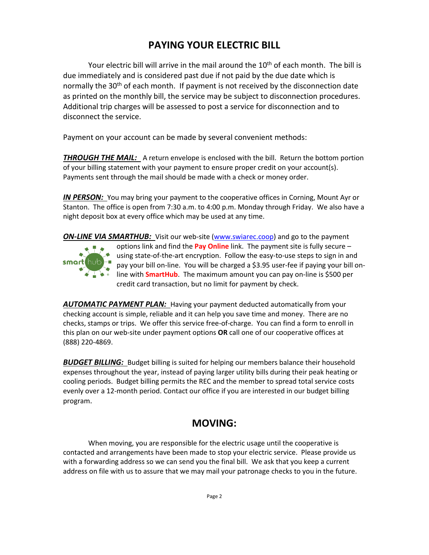# **PAYING YOUR ELECTRIC BILL**

Your electric bill will arrive in the mail around the  $10<sup>th</sup>$  of each month. The bill is due immediately and is considered past due if not paid by the due date which is normally the 30<sup>th</sup> of each month. If payment is not received by the disconnection date as printed on the monthly bill, the service may be subject to disconnection procedures. Additional trip charges will be assessed to post a service for disconnection and to disconnect the service.

Payment on your account can be made by several convenient methods:

**THROUGH THE MAIL:** A return envelope is enclosed with the bill. Return the bottom portion of your billing statement with your payment to ensure proper credit on your account(s). Payments sent through the mail should be made with a check or money order.

*IN PERSON:* You may bring your payment to the cooperative offices in Corning, Mount Ayr or Stanton. The office is open from 7:30 a.m. to 4:00 p.m. Monday through Friday. We also have a night deposit box at every office which may be used at any time.

*ON-LINE VIA SMARTHUB:* Visit our web-site [\(www.swiarec.coop\)](http://www.swiarec.coop/) and go to the payment



options link and find the **Pay Online** link. The payment site is fully secure – using state-of-the-art encryption. Follow the easy-to-use steps to sign in and pay your bill on-line. You will be charged a \$3.95 user-fee if paying your bill online with **SmartHub**. The maximum amount you can pay on-line is \$500 per credit card transaction, but no limit for payment by check.

*AUTOMATIC PAYMENT PLAN:* Having your payment deducted automatically from your checking account is simple, reliable and it can help you save time and money. There are no checks, stamps or trips. We offer this service free-of-charge. You can find a form to enroll in this plan on our web-site under payment options **OR** call one of our cooperative offices at (888) 220-4869.

*BUDGET BILLING:* Budget billing is suited for helping our members balance their household expenses throughout the year, instead of paying larger utility bills during their peak heating or cooling periods. Budget billing permits the REC and the member to spread total service costs evenly over a 12-month period. Contact our office if you are interested in our budget billing program.

### **MOVING:**

When moving, you are responsible for the electric usage until the cooperative is contacted and arrangements have been made to stop your electric service. Please provide us with a forwarding address so we can send you the final bill. We ask that you keep a current address on file with us to assure that we may mail your patronage checks to you in the future.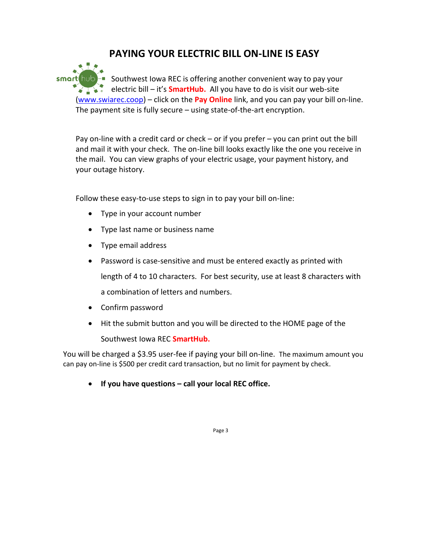# **PAYING YOUR ELECTRIC BILL ON-LINE IS EASY**

smart hub<sup>-</sup> Southwest Iowa REC is offering another convenient way to pay your **EXECUSE:** electric bill – it's **SmartHub.** All you have to do is visit our web-site [\(www.swiarec.coop\)](http://www.swiarec.coop/) – click on the **Pay Online** link, and you can pay your bill on-line. The payment site is fully secure – using state-of-the-art encryption.

Pay on-line with a credit card or check  $-$  or if you prefer  $-$  you can print out the bill and mail it with your check. The on-line bill looks exactly like the one you receive in the mail. You can view graphs of your electric usage, your payment history, and your outage history.

Follow these easy-to-use steps to sign in to pay your bill on-line:

- Type in your account number
- Type last name or business name
- Type email address
- Password is case-sensitive and must be entered exactly as printed with length of 4 to 10 characters. For best security, use at least 8 characters with a combination of letters and numbers.
- Confirm password
- Hit the submit button and you will be directed to the HOME page of the Southwest Iowa REC **SmartHub.**

You will be charged a \$3.95 user-fee if paying your bill on-line. The maximum amount you can pay on-line is \$500 per credit card transaction, but no limit for payment by check.

• **If you have questions – call your local REC office.**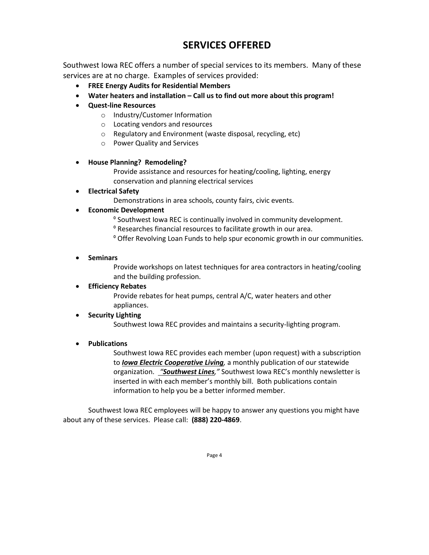# **SERVICES OFFERED**

Southwest Iowa REC offers a number of special services to its members. Many of these services are at no charge. Examples of services provided:

- **FREE Energy Audits for Residential Members**
- **Water heaters and installation – Call us to find out more about this program!**
- **Quest-line Resources**
	- o Industry/Customer Information
	- o Locating vendors and resources
	- o Regulatory and Environment (waste disposal, recycling, etc)
	- o Power Quality and Services

#### • **House Planning? Remodeling?**

Provide assistance and resources for heating/cooling, lighting, energy conservation and planning electrical services

• **Electrical Safety**

Demonstrations in area schools, county fairs, civic events.

- **Economic Development**
	- º Southwest Iowa REC is continually involved in community development.
	- º Researches financial resources to facilitate growth in our area.
	- º Offer Revolving Loan Funds to help spur economic growth in our communities.
- **Seminars**

Provide workshops on latest techniques for area contractors in heating/cooling and the building profession.

#### • **Efficiency Rebates**

Provide rebates for heat pumps, central A/C, water heaters and other appliances.

#### • **Security Lighting**

Southwest Iowa REC provides and maintains a security-lighting program.

#### • **Publications**

Southwest Iowa REC provides each member (upon request) with a subscription to *Iowa Electric Cooperative Living,* a monthly publication of our statewide organization. *"Southwest Lines,"* Southwest Iowa REC's monthly newsletter is inserted in with each member's monthly bill. Both publications contain information to help you be a better informed member.

Southwest Iowa REC employees will be happy to answer any questions you might have about any of these services. Please call: **(888) 220-4869**.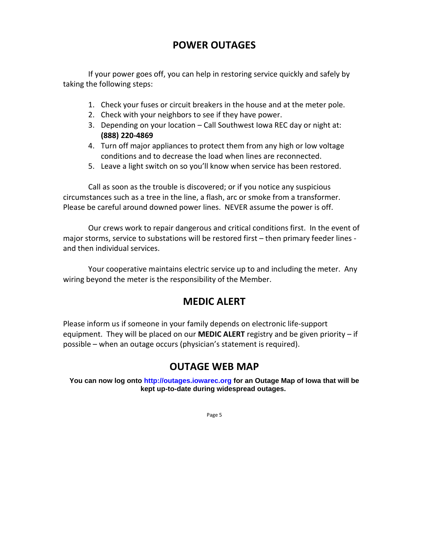# **POWER OUTAGES**

If your power goes off, you can help in restoring service quickly and safely by taking the following steps:

- 1. Check your fuses or circuit breakers in the house and at the meter pole.
- 2. Check with your neighbors to see if they have power.
- 3. Depending on your location Call Southwest Iowa REC day or night at: **(888) 220-4869**
- 4. Turn off major appliances to protect them from any high or low voltage conditions and to decrease the load when lines are reconnected.
- 5. Leave a light switch on so you'll know when service has been restored.

Call as soon as the trouble is discovered; or if you notice any suspicious circumstances such as a tree in the line, a flash, arc or smoke from a transformer. Please be careful around downed power lines. NEVER assume the power is off.

Our crews work to repair dangerous and critical conditions first. In the event of major storms, service to substations will be restored first – then primary feeder lines and then individual services.

Your cooperative maintains electric service up to and including the meter. Any wiring beyond the meter is the responsibility of the Member.

# **MEDIC ALERT**

Please inform us if someone in your family depends on electronic life-support equipment. They will be placed on our **MEDIC ALERT** registry and be given priority – if possible – when an outage occurs (physician's statement is required).

# **OUTAGE WEB MAP**

**You can now log onto [http://outages.iowarec.org](http://outages.iowarec.org/) for an Outage Map of Iowa that will be kept up-to-date during widespread outages.**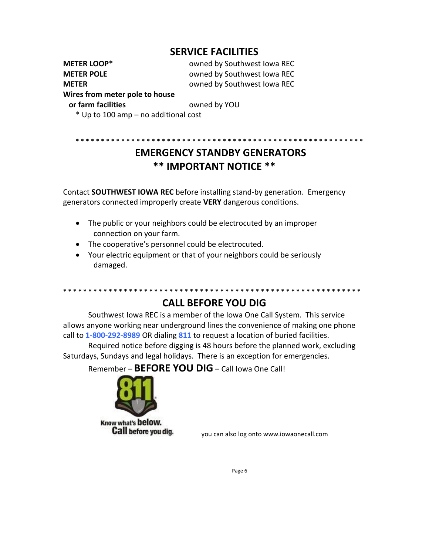# **SERVICE FACILITIES**

**METER LOOP\*** owned by Southwest Iowa REC **METER POLE** owned by Southwest Iowa REC **METER CONSUMERER OWING BY SOUTHWEST IOWA REC** 

**\* \* \* \* \* \* \* \* \* \* \* \* \* \* \* \* \* \* \* \* \* \* \* \* \* \* \* \* \* \* \* \* \* \* \* \* \* \* \* \* \* \* \* \* \* \* \* \* \* \* \* \* \* \* \* \* \*** 

#### **Wires from meter pole to house**

**or farm facilities by YOU** 

\* Up to 100 amp – no additional cost

# **EMERGENCY STANDBY GENERATORS \*\* IMPORTANT NOTICE \*\***

Contact **SOUTHWEST IOWA REC** before installing stand-by generation. Emergency generators connected improperly create **VERY** dangerous conditions.

- The public or your neighbors could be electrocuted by an improper connection on your farm.
- The cooperative's personnel could be electrocuted.
- Your electric equipment or that of your neighbors could be seriously damaged.

#### **\* \* \* \* \* \* \* \* \* \* \* \* \* \* \* \* \* \* \* \* \* \* \* \* \* \* \* \* \* \* \* \* \* \* \* \* \* \* \* \* \* \* \* \* \* \* \* \* \* \* \* \* \* \* \* \* \* \* \* CALL BEFORE YOU DIG**

Southwest Iowa REC is a member of the Iowa One Call System. This service allows anyone working near underground lines the convenience of making one phone call to **1-800-292-8989** OR dialing **811** to request a location of buried facilities.

Required notice before digging is 48 hours before the planned work, excluding Saturdays, Sundays and legal holidays. There is an exception for emergencies.

Remember – **BEFORE YOU DIG** – Call Iowa One Call!



Know what's below. **Call before you dig.** 

you can also log onto www.iowaonecall.com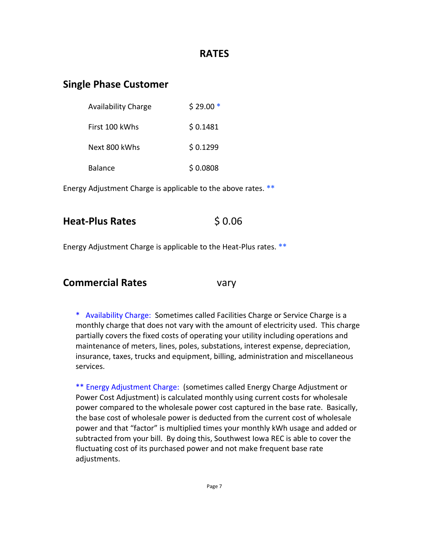### **RATES**

# **Single Phase Customer**

| <b>Availability Charge</b> | $$29.00*$ |
|----------------------------|-----------|
| First 100 kWhs             | \$0.1481  |
| Next 800 kWhs              | \$0.1299  |
| Balance                    | \$0.0808  |

Energy Adjustment Charge is applicable to the above rates. **\*\*** 

# **Heat-Plus Rates** \$ 0.06

Energy Adjustment Charge is applicable to the Heat-Plus rates. **\*\*** 

#### **Commercial Rates** vary

\* Availability Charge: Sometimes called Facilities Charge or Service Charge is a monthly charge that does not vary with the amount of electricity used. This charge partially covers the fixed costs of operating your utility including operations and maintenance of meters, lines, poles, substations, interest expense, depreciation, insurance, taxes, trucks and equipment, billing, administration and miscellaneous services.

\*\* Energy Adjustment Charge: (sometimes called Energy Charge Adjustment or Power Cost Adjustment) is calculated monthly using current costs for wholesale power compared to the wholesale power cost captured in the base rate. Basically, the base cost of wholesale power is deducted from the current cost of wholesale power and that "factor" is multiplied times your monthly kWh usage and added or subtracted from your bill. By doing this, Southwest Iowa REC is able to cover the fluctuating cost of its purchased power and not make frequent base rate adjustments.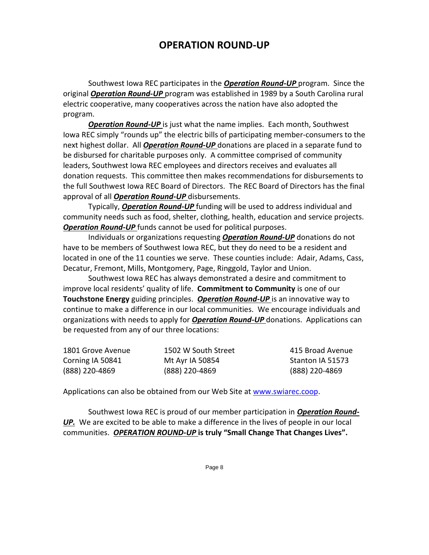# **OPERATION ROUND-UP**

Southwest Iowa REC participates in the *Operation Round-UP* program. Since the original *Operation Round-UP* program was established in 1989 by a South Carolina rural electric cooperative, many cooperatives across the nation have also adopted the program.

*Operation Round-UP* is just what the name implies. Each month, Southwest Iowa REC simply "rounds up" the electric bills of participating member-consumers to the next highest dollar. All *Operation Round-UP* donations are placed in a separate fund to be disbursed for charitable purposes only. A committee comprised of community leaders, Southwest Iowa REC employees and directors receives and evaluates all donation requests. This committee then makes recommendations for disbursements to the full Southwest Iowa REC Board of Directors. The REC Board of Directors has the final approval of all *Operation Round-UP* disbursements.

Typically, *Operation Round-UP* funding will be used to address individual and community needs such as food, shelter, clothing, health, education and service projects. *Operation Round-UP* funds cannot be used for political purposes.

Individuals or organizations requesting *Operation Round-UP* donations do not have to be members of Southwest Iowa REC, but they do need to be a resident and located in one of the 11 counties we serve. These counties include: Adair, Adams, Cass, Decatur, Fremont, Mills, Montgomery, Page, Ringgold, Taylor and Union.

Southwest Iowa REC has always demonstrated a desire and commitment to improve local residents' quality of life. **Commitment to Community** is one of our **Touchstone Energy** guiding principles. *Operation Round-UP* is an innovative way to continue to make a difference in our local communities. We encourage individuals and organizations with needs to apply for *Operation Round-UP* donations. Applications can be requested from any of our three locations:

| 1801 Grove Avenue | 1502 W South Street | 415 Broad Avenue |
|-------------------|---------------------|------------------|
| Corning IA 50841  | Mt Ayr IA 50854     | Stanton IA 51573 |
| (888) 220-4869    | (888) 220-4869      | (888) 220-4869   |

Applications can also be obtained from our Web Site at [www.swiarec.coop.](http://www.swiarec.coop/)

Southwest Iowa REC is proud of our member participation in *Operation Round-UP.* We are excited to be able to make a difference in the lives of people in our local communities. *OPERATION ROUND-UP* **is truly "Small Change That Changes Lives".**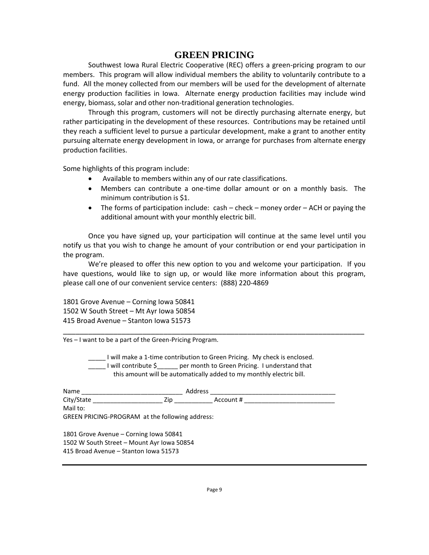#### **GREEN PRICING**

Southwest Iowa Rural Electric Cooperative (REC) offers a green-pricing program to our members. This program will allow individual members the ability to voluntarily contribute to a fund. All the money collected from our members will be used for the development of alternate energy production facilities in Iowa. Alternate energy production facilities may include wind energy, biomass, solar and other non-traditional generation technologies.

Through this program, customers will not be directly purchasing alternate energy, but rather participating in the development of these resources. Contributions may be retained until they reach a sufficient level to pursue a particular development, make a grant to another entity pursuing alternate energy development in Iowa, or arrange for purchases from alternate energy production facilities.

Some highlights of this program include:

- Available to members within any of our rate classifications.
- Members can contribute a one-time dollar amount or on a monthly basis. The minimum contribution is \$1.
- The forms of participation include: cash check money order ACH or paying the additional amount with your monthly electric bill.

Once you have signed up, your participation will continue at the same level until you notify us that you wish to change he amount of your contribution or end your participation in the program.

We're pleased to offer this new option to you and welcome your participation. If you have questions, would like to sign up, or would like more information about this program, please call one of our convenient service centers: (888) 220-4869

\_\_\_\_\_\_\_\_\_\_\_\_\_\_\_\_\_\_\_\_\_\_\_\_\_\_\_\_\_\_\_\_\_\_\_\_\_\_\_\_\_\_\_\_\_\_\_\_\_\_\_\_\_\_\_\_\_\_\_\_\_\_\_\_\_\_\_\_\_\_\_\_

1801 Grove Avenue – Corning Iowa 50841 1502 W South Street – Mt Ayr Iowa 50854 415 Broad Avenue – Stanton Iowa 51573

Yes – I want to be a part of the Green-Pricing Program.

\_\_\_\_\_ I will make a 1-time contribution to Green Pricing. My check is enclosed. LIVIII contribute \$<sub>\_\_\_\_</sub>\_\_\_ per month to Green Pricing. I understand that this amount will be automatically added to my monthly electric bill.

| Name                                                        | Address |           |
|-------------------------------------------------------------|---------|-----------|
| City/State                                                  | Zip     | Account # |
| Mail to:<br>GREEN PRICING-PROGRAM at the following address: |         |           |
| 1801 Grove Avenue - Corning Iowa 50841                      |         |           |

1502 W South Street – Mount Ayr Iowa 50854 415 Broad Avenue – Stanton Iowa 51573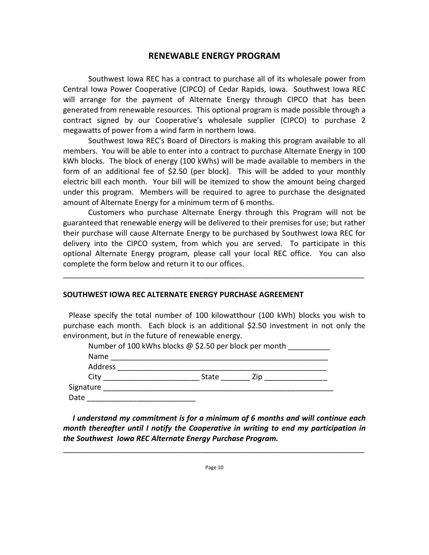#### **RENEWABLE ENERGY PROGRAM**

Southwest Iowa REC has a contract to purchase all of its wholesale power from Central Iowa Power Cooperative (CIPCO) of Cedar Rapids, Iowa. Southwest Iowa REC will arrange for the payment of Alternate Energy through CIPCO that has been generated from renewable resources. This optional program is made possible through a contract signed by our Cooperative's wholesale supplier (CIPCO) to purchase 2 megawatts of power from a wind farm in northern Iowa.

Southwest Iowa REC's Board of Directors is making this program available to all members. You will be able to enter into a contract to purchase Alternate Energy in 100 kWh blocks. The block of energy (100 kWhs) will be made available to members in the form of an additional fee of \$2.50 (per block). This will be added to your monthly electric bill each month. Your bill will be itemized to show the amount being charged under this program. Members will be required to agree to purchase the designated amount of Alternate Energy for a minimum term of 6 months.

Customers who purchase Alternate Energy through this Program will not be guaranteed that renewable energy will be delivered to their premises for use; but rather their purchase will cause Alternate Energy to be purchased by Southwest Iowa REC for delivery into the CIPCO system, from which you are served. To participate in this optional Alternate Energy program, please call your local REC office. You can also complete the form below and return it to our offices.

\_\_\_\_\_\_\_\_\_\_\_\_\_\_\_\_\_\_\_\_\_\_\_\_\_\_\_\_\_\_\_\_\_\_\_\_\_\_\_\_\_\_\_\_\_\_\_\_\_\_\_\_\_\_\_\_\_\_\_\_\_\_\_\_\_\_\_\_\_\_\_\_

#### **SOUTHWEST IOWA REC ALTERNATE ENERGY PURCHASE AGREEMENT**

 Please specify the total number of 100 kilowatthour (100 kWh) blocks you wish to purchase each month. Each block is an additional \$2.50 investment in not only the environment, but in the future of renewable energy.

|           | Number of 100 kWhs blocks @ \$2.50 per block per month |     |  |
|-----------|--------------------------------------------------------|-----|--|
| Name      |                                                        |     |  |
| Address   |                                                        |     |  |
| City      | State                                                  | 7in |  |
| Signature |                                                        |     |  |
| Date      |                                                        |     |  |

 *I understand my commitment is for a minimum of 6 months and will continue each month thereafter until I notify the Cooperative in writing to end my participation in the Southwest Iowa REC Alternate Energy Purchase Program.*

\_\_\_\_\_\_\_\_\_\_\_\_\_\_\_\_\_\_\_\_\_\_\_\_\_\_\_\_\_\_\_\_\_\_\_\_\_\_\_\_\_\_\_\_\_\_\_\_\_\_\_\_\_\_\_\_\_\_\_\_\_\_\_\_\_\_\_\_\_\_\_\_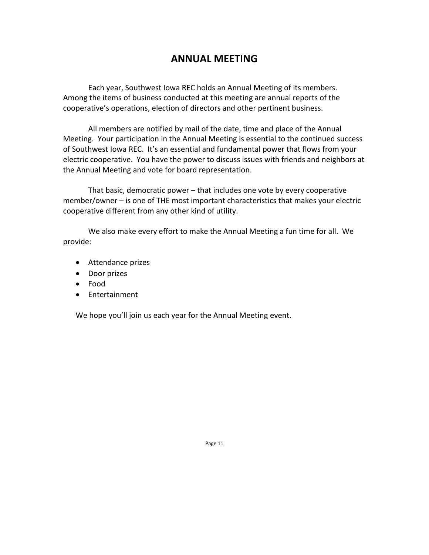# **ANNUAL MEETING**

Each year, Southwest Iowa REC holds an Annual Meeting of its members. Among the items of business conducted at this meeting are annual reports of the cooperative's operations, election of directors and other pertinent business.

All members are notified by mail of the date, time and place of the Annual Meeting. Your participation in the Annual Meeting is essential to the continued success of Southwest Iowa REC. It's an essential and fundamental power that flows from your electric cooperative. You have the power to discuss issues with friends and neighbors at the Annual Meeting and vote for board representation.

That basic, democratic power – that includes one vote by every cooperative member/owner – is one of THE most important characteristics that makes your electric cooperative different from any other kind of utility.

We also make every effort to make the Annual Meeting a fun time for all. We provide:

- Attendance prizes
- Door prizes
- Food
- Entertainment

We hope you'll join us each year for the Annual Meeting event.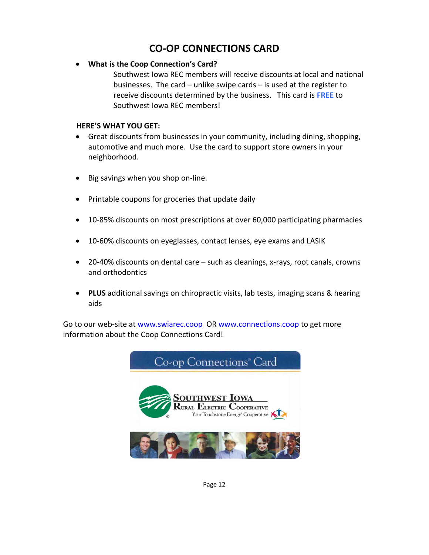# **CO-OP CONNECTIONS CARD**

#### • **What is the Coop Connection's Card?**

Southwest Iowa REC members will receive discounts at local and national businesses. The card – unlike swipe cards – is used at the register to receive discounts determined by the business. This card is **FREE** to Southwest Iowa REC members!

#### **HERE'S WHAT YOU GET:**

- Great discounts from businesses in your community, including dining, shopping, automotive and much more. Use the card to support store owners in your neighborhood.
- Big savings when you shop on-line.
- Printable coupons for groceries that update daily
- 10-85% discounts on most prescriptions at over 60,000 participating pharmacies
- 10-60% discounts on eyeglasses, contact lenses, eye exams and LASIK
- 20-40% discounts on dental care such as cleanings, x-rays, root canals, crowns and orthodontics
- **PLUS** additional savings on chiropractic visits, lab tests, imaging scans & hearing aids

Go to our web-site at [www.swiarec.coop](http://www.swiarec.coop/) OR [www.connections.coop](http://www.connections.coop/) to get more information about the Coop Connections Card!

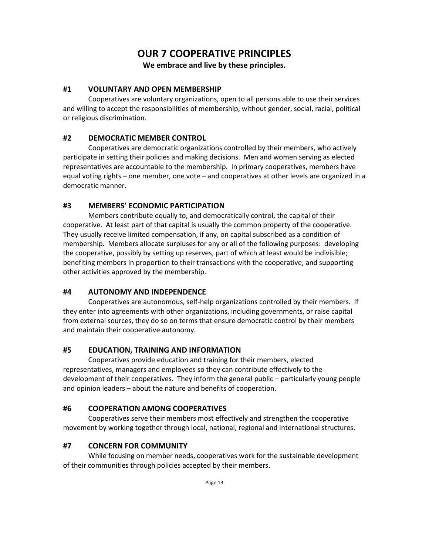# **OUR 7 COOPERATIVE PRINCIPLES**

**We embrace and live by these principles.**

#### **#1 VOLUNTARY AND OPEN MEMBERSHIP**

Cooperatives are voluntary organizations, open to all persons able to use their services and willing to accept the responsibilities of membership, without gender, social, racial, political or religious discrimination.

#### **#2 DEMOCRATIC MEMBER CONTROL**

Cooperatives are democratic organizations controlled by their members, who actively participate in setting their policies and making decisions. Men and women serving as elected representatives are accountable to the membership. In primary cooperatives, members have equal voting rights – one member, one vote – and cooperatives at other levels are organized in a democratic manner.

#### **#3 MEMBERS' ECONOMIC PARTICIPATION**

Members contribute equally to, and democratically control, the capital of their cooperative. At least part of that capital is usually the common property of the cooperative. They usually receive limited compensation, if any, on capital subscribed as a condition of membership. Members allocate surpluses for any or all of the following purposes: developing the cooperative, possibly by setting up reserves, part of which at least would be indivisible; benefiting members in proportion to their transactions with the cooperative; and supporting other activities approved by the membership.

#### **#4 AUTONOMY AND INDEPENDENCE**

Cooperatives are autonomous, self-help organizations controlled by their members. If they enter into agreements with other organizations, including governments, or raise capital from external sources, they do so on terms that ensure democratic control by their members and maintain their cooperative autonomy.

#### **#5 EDUCATION, TRAINING AND INFORMATION**

Cooperatives provide education and training for their members, elected representatives, managers and employees so they can contribute effectively to the development of their cooperatives. They inform the general public – particularly young people and opinion leaders – about the nature and benefits of cooperation.

#### **#6 COOPERATION AMONG COOPERATIVES**

Cooperatives serve their members most effectively and strengthen the cooperative movement by working together through local, national, regional and international structures.

#### **#7 CONCERN FOR COMMUNITY**

While focusing on member needs, cooperatives work for the sustainable development of their communities through policies accepted by their members.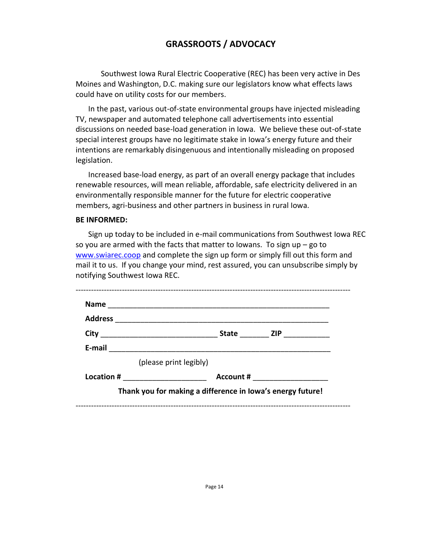# **GRASSROOTS / ADVOCACY**

Southwest Iowa Rural Electric Cooperative (REC) has been very active in Des Moines and Washington, D.C. making sure our legislators know what effects laws could have on utility costs for our members.

In the past, various out-of-state environmental groups have injected misleading TV, newspaper and automated telephone call advertisements into essential discussions on needed base-load generation in Iowa. We believe these out-of-state special interest groups have no legitimate stake in Iowa's energy future and their intentions are remarkably disingenuous and intentionally misleading on proposed legislation.

Increased base-load energy, as part of an overall energy package that includes renewable resources, will mean reliable, affordable, safe electricity delivered in an environmentally responsible manner for the future for electric cooperative members, agri-business and other partners in business in rural Iowa.

#### **BE INFORMED:**

Sign up today to be included in e-mail communications from Southwest Iowa REC so you are armed with the facts that matter to lowans. To sign up  $-$  go to [www.swiarec.coop](http://www.swiarec.coop/) and complete the sign up form or simply fill out this form and mail it to us. If you change your mind, rest assured, you can unsubscribe simply by notifying Southwest Iowa REC.

| <b>Address</b>                     |                        |                                |
|------------------------------------|------------------------|--------------------------------|
|                                    |                        | State ZIP __________           |
|                                    |                        |                                |
|                                    | (please print legibly) |                                |
| Location # _______________________ |                        | Account # ____________________ |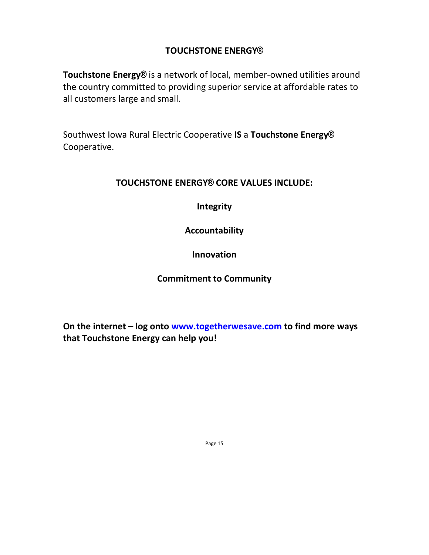# **TOUCHSTONE ENERGY®**

**Touchstone Energy®** is a network of local, member-owned utilities around the country committed to providing superior service at affordable rates to all customers large and small.

Southwest Iowa Rural Electric Cooperative **IS** a **Touchstone Energy®** Cooperative.

#### **TOUCHSTONE ENERGY® CORE VALUES INCLUDE:**

**Integrity**

**Accountability**

**Innovation**

#### **Commitment to Community**

**On the internet – log onto [www.togetherwesave.com](http://www.togetherwesave.com/) to find more ways that Touchstone Energy can help you!**